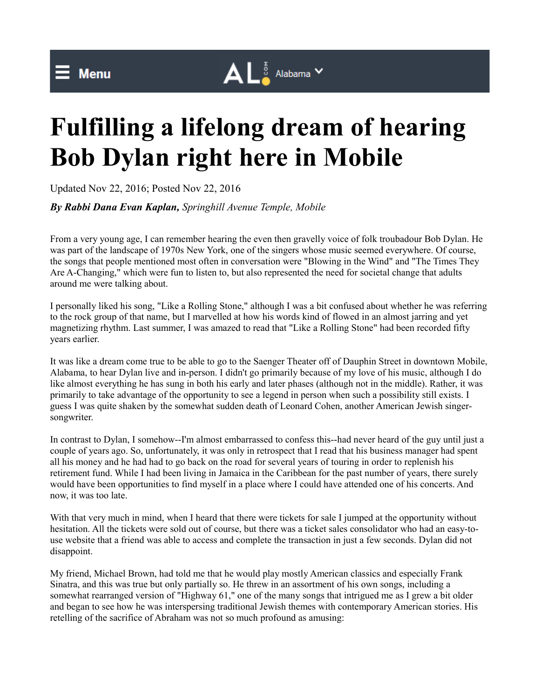

## **Fulfilling a lifelong dream of hearing Bob Dylan right here in Mobile**

Updated Nov 22, 2016; Posted Nov 22, 2016

*By Rabbi Dana Evan Kaplan, Springhill Avenue Temple, Mobile*

From a very young age, I can remember hearing the even then gravelly voice of folk troubadour Bob Dylan. He was part of the landscape of 1970s New York, one of the singers whose music seemed everywhere. Of course, the songs that people mentioned most often in conversation were "Blowing in the Wind" and "The Times They Are A-Changing," which were fun to listen to, but also represented the need for societal change that adults around me were talking about.

I personally liked his song, "Like a Rolling Stone," although I was a bit confused about whether he was referring to the rock group of that name, but I marvelled at how his words kind of flowed in an almost jarring and yet magnetizing rhythm. Last summer, I was amazed to read that "Like a Rolling Stone" had been recorded fifty years earlier.

It was like a dream come true to be able to go to the Saenger Theater off of Dauphin Street in downtown Mobile, Alabama, to hear Dylan live and in-person. I didn't go primarily because of my love of his music, although I do like almost everything he has sung in both his early and later phases (although not in the middle). Rather, it was primarily to take advantage of the opportunity to see a legend in person when such a possibility still exists. I guess I was quite shaken by the somewhat sudden death of Leonard Cohen, another American Jewish singersongwriter.

In contrast to Dylan, I somehow--I'm almost embarrassed to confess this--had never heard of the guy until just a couple of years ago. So, unfortunately, it was only in retrospect that I read that his business manager had spent all his money and he had had to go back on the road for several years of touring in order to replenish his retirement fund. While I had been living in Jamaica in the Caribbean for the past number of years, there surely would have been opportunities to find myself in a place where I could have attended one of his concerts. And now, it was too late.

With that very much in mind, when I heard that there were tickets for sale I jumped at the opportunity without hesitation. All the tickets were sold out of course, but there was a ticket sales consolidator who had an easy-touse website that a friend was able to access and complete the transaction in just a few seconds. Dylan did not disappoint.

My friend, Michael Brown, had told me that he would play mostly American classics and especially Frank Sinatra, and this was true but only partially so. He threw in an assortment of his own songs, including a somewhat rearranged version of "Highway 61," one of the many songs that intrigued me as I grew a bit older and began to see how he was interspersing traditional Jewish themes with contemporary American stories. His retelling of the sacrifice of Abraham was not so much profound as amusing: